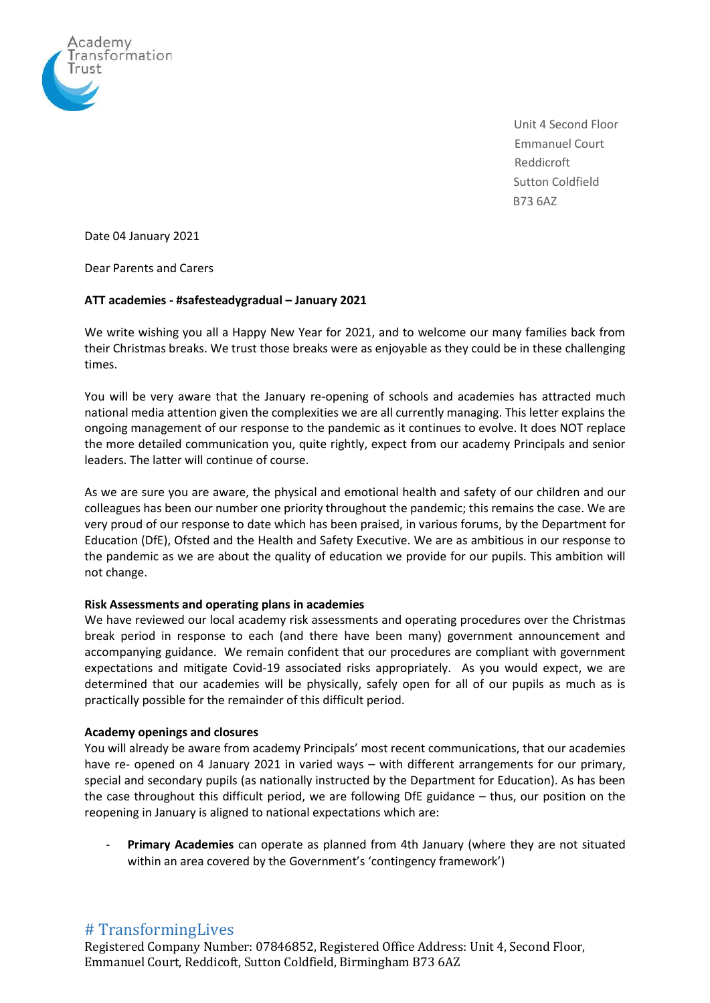

Unit 4 Second Floor Emmanuel Court Reddicroft Sutton Coldfield B73 6AZ

Date 04 January 2021

Dear Parents and Carers

#### **ATT academies - #safesteadygradual – January 2021**

We write wishing you all a Happy New Year for 2021, and to welcome our many families back from their Christmas breaks. We trust those breaks were as enjoyable as they could be in these challenging times.

You will be very aware that the January re-opening of schools and academies has attracted much national media attention given the complexities we are all currently managing. This letter explains the ongoing management of our response to the pandemic as it continues to evolve. It does NOT replace the more detailed communication you, quite rightly, expect from our academy Principals and senior leaders. The latter will continue of course.

As we are sure you are aware, the physical and emotional health and safety of our children and our colleagues has been our number one priority throughout the pandemic; this remains the case. We are very proud of our response to date which has been praised, in various forums, by the Department for Education (DfE), Ofsted and the Health and Safety Executive. We are as ambitious in our response to the pandemic as we are about the quality of education we provide for our pupils. This ambition will not change.

### **Risk Assessments and operating plans in academies**

We have reviewed our local academy risk assessments and operating procedures over the Christmas break period in response to each (and there have been many) government announcement and accompanying guidance. We remain confident that our procedures are compliant with government expectations and mitigate Covid-19 associated risks appropriately. As you would expect, we are determined that our academies will be physically, safely open for all of our pupils as much as is practically possible for the remainder of this difficult period.

### **Academy openings and closures**

You will already be aware from academy Principals' most recent communications, that our academies have re- opened on 4 January 2021 in varied ways – with different arrangements for our primary, special and secondary pupils (as nationally instructed by the Department for Education). As has been the case throughout this difficult period, we are following DfE guidance – thus, our position on the reopening in January is aligned to national expectations which are:

- **Primary Academies** can operate as planned from 4th January (where they are not situated within an area covered by the Government's 'contingency framework')

# # TransformingLives

Registered Company Number: 07846852, Registered Office Address: Unit 4, Second Floor, Emmanuel Court, Reddicoft, Sutton Coldfield, Birmingham B73 6AZ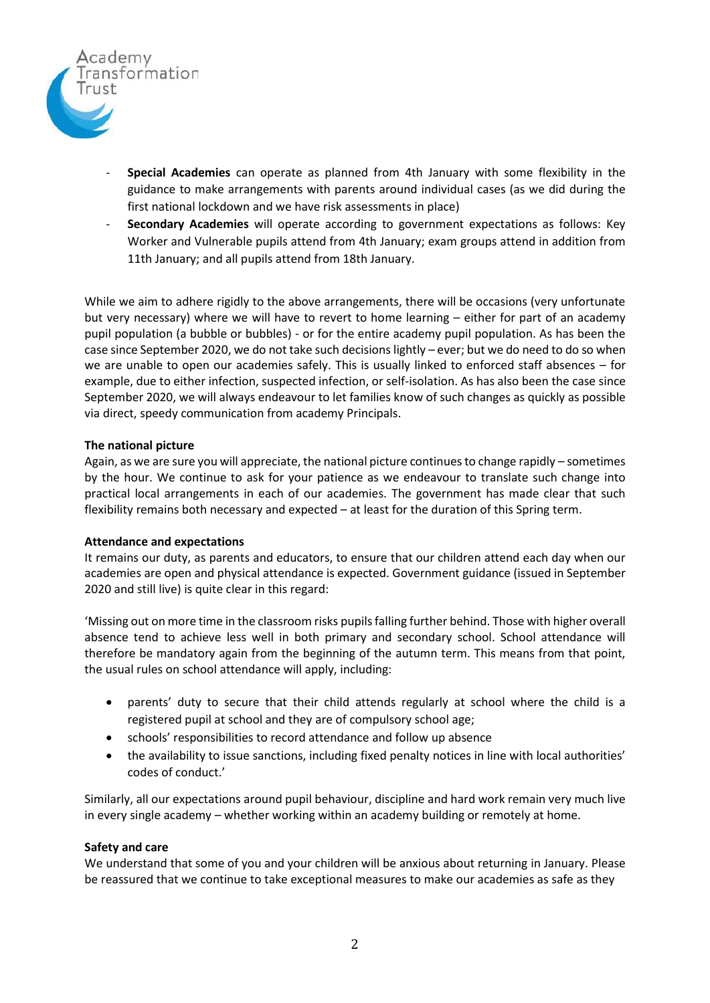

- **Special Academies** can operate as planned from 4th January with some flexibility in the guidance to make arrangements with parents around individual cases (as we did during the first national lockdown and we have risk assessments in place)
- **Secondary Academies** will operate according to government expectations as follows: Key Worker and Vulnerable pupils attend from 4th January; exam groups attend in addition from 11th January; and all pupils attend from 18th January.

While we aim to adhere rigidly to the above arrangements, there will be occasions (very unfortunate but very necessary) where we will have to revert to home learning – either for part of an academy pupil population (a bubble or bubbles) - or for the entire academy pupil population. As has been the case since September 2020, we do not take such decisions lightly – ever; but we do need to do so when we are unable to open our academies safely. This is usually linked to enforced staff absences – for example, due to either infection, suspected infection, or self-isolation. As has also been the case since September 2020, we will always endeavour to let families know of such changes as quickly as possible via direct, speedy communication from academy Principals.

### **The national picture**

Again, as we are sure you will appreciate, the national picture continues to change rapidly – sometimes by the hour. We continue to ask for your patience as we endeavour to translate such change into practical local arrangements in each of our academies. The government has made clear that such flexibility remains both necessary and expected – at least for the duration of this Spring term.

### **Attendance and expectations**

It remains our duty, as parents and educators, to ensure that our children attend each day when our academies are open and physical attendance is expected. Government guidance (issued in September 2020 and still live) is quite clear in this regard:

'Missing out on more time in the classroom risks pupils falling further behind. Those with higher overall absence tend to achieve less well in both primary and secondary school. School attendance will therefore be mandatory again from the beginning of the autumn term. This means from that point, the usual rules on school attendance will apply, including:

- parents' duty to secure that their child attends regularly at school where the child is a registered pupil at school and they are of compulsory school age;
- schools' responsibilities to record attendance and follow up absence
- the availability to issue sanctions, including fixed penalty notices in line with local authorities' codes of conduct.'

Similarly, all our expectations around pupil behaviour, discipline and hard work remain very much live in every single academy – whether working within an academy building or remotely at home.

## **Safety and care**

We understand that some of you and your children will be anxious about returning in January. Please be reassured that we continue to take exceptional measures to make our academies as safe as they